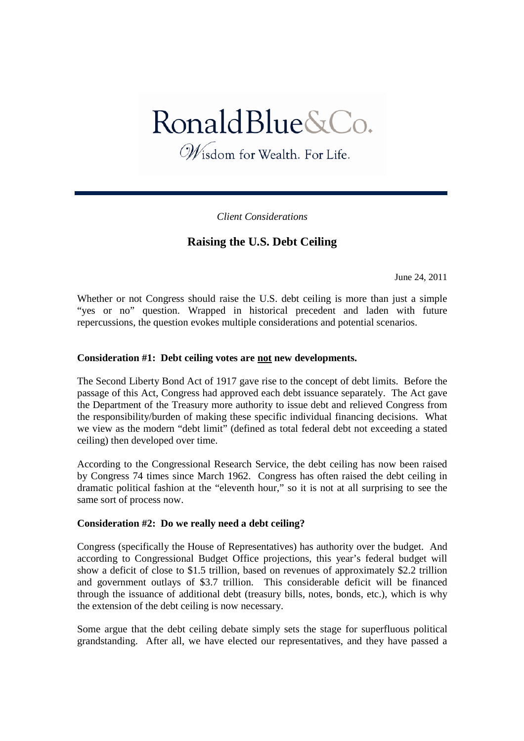# RonaldBlue&Co.

Wisdom for Wealth. For Life.

*Client Considerations*

## **Raising the U.S. Debt Ceiling**

June 24, 2011

Whether or not Congress should raise the U.S. debt ceiling is more than just a simple "yes or no" question. Wrapped in historical precedent and laden with future repercussions, the question evokes multiple considerations and potential scenarios.

### **Consideration #1: Debt ceiling votes are not new developments.**

The Second Liberty Bond Act of 1917 gave rise to the concept of debt limits. Before the passage of this Act, Congress had approved each debt issuance separately. The Act gave the Department of the Treasury more authority to issue debt and relieved Congress from the responsibility/burden of making these specific individual financing decisions. What we view as the modern "debt limit" (defined as total federal debt not exceeding a stated ceiling) then developed over time.

According to the Congressional Research Service, the debt ceiling has now been raised by Congress 74 times since March 1962. Congress has often raised the debt ceiling in dramatic political fashion at the "eleventh hour," so it is not at all surprising to see the same sort of process now.

### **Consideration #2: Do we really need a debt ceiling?**

Congress (specifically the House of Representatives) has authority over the budget. And according to Congressional Budget Office projections, this year's federal budget will show a deficit of close to \$1.5 trillion, based on revenues of approximately \$2.2 trillion and government outlays of \$3.7 trillion. This considerable deficit will be financed through the issuance of additional debt (treasury bills, notes, bonds, etc.), which is why the extension of the debt ceiling is now necessary.

Some argue that the debt ceiling debate simply sets the stage for superfluous political grandstanding. After all, we have elected our representatives, and they have passed a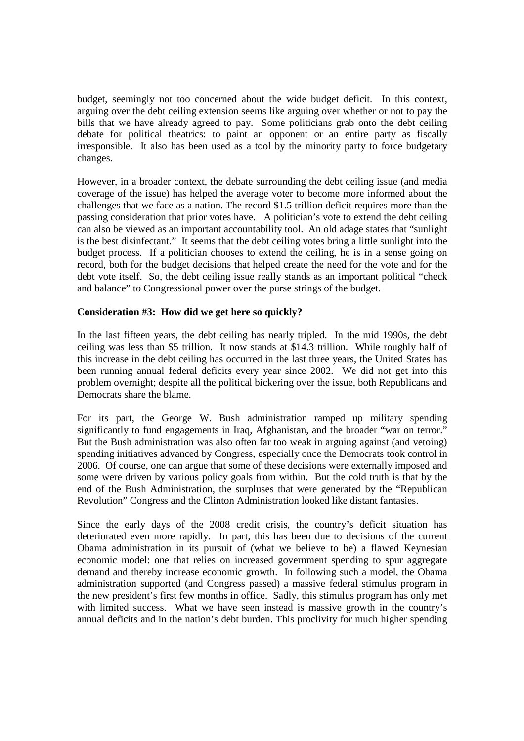budget, seemingly not too concerned about the wide budget deficit. In this context, arguing over the debt ceiling extension seems like arguing over whether or not to pay the bills that we have already agreed to pay. Some politicians grab onto the debt ceiling debate for political theatrics: to paint an opponent or an entire party as fiscally irresponsible. It also has been used as a tool by the minority party to force budgetary changes.

However, in a broader context, the debate surrounding the debt ceiling issue (and media coverage of the issue) has helped the average voter to become more informed about the challenges that we face as a nation. The record \$1.5 trillion deficit requires more than the passing consideration that prior votes have. A politician's vote to extend the debt ceiling can also be viewed as an important accountability tool. An old adage states that "sunlight is the best disinfectant." It seems that the debt ceiling votes bring a little sunlight into the budget process. If a politician chooses to extend the ceiling, he is in a sense going on record, both for the budget decisions that helped create the need for the vote and for the debt vote itself. So, the debt ceiling issue really stands as an important political "check and balance" to Congressional power over the purse strings of the budget.

### **Consideration #3: How did we get here so quickly?**

In the last fifteen years, the debt ceiling has nearly tripled. In the mid 1990s, the debt ceiling was less than \$5 trillion. It now stands at \$14.3 trillion. While roughly half of this increase in the debt ceiling has occurred in the last three years, the United States has been running annual federal deficits every year since 2002. We did not get into this problem overnight; despite all the political bickering over the issue, both Republicans and Democrats share the blame.

For its part, the George W. Bush administration ramped up military spending significantly to fund engagements in Iraq, Afghanistan, and the broader "war on terror." But the Bush administration was also often far too weak in arguing against (and vetoing) spending initiatives advanced by Congress, especially once the Democrats took control in 2006. Of course, one can argue that some of these decisions were externally imposed and some were driven by various policy goals from within. But the cold truth is that by the end of the Bush Administration, the surpluses that were generated by the "Republican Revolution" Congress and the Clinton Administration looked like distant fantasies.

Since the early days of the 2008 credit crisis, the country's deficit situation has deteriorated even more rapidly. In part, this has been due to decisions of the current Obama administration in its pursuit of (what we believe to be) a flawed Keynesian economic model: one that relies on increased government spending to spur aggregate demand and thereby increase economic growth. In following such a model, the Obama administration supported (and Congress passed) a massive federal stimulus program in the new president's first few months in office. Sadly, this stimulus program has only met with limited success. What we have seen instead is massive growth in the country's annual deficits and in the nation's debt burden. This proclivity for much higher spending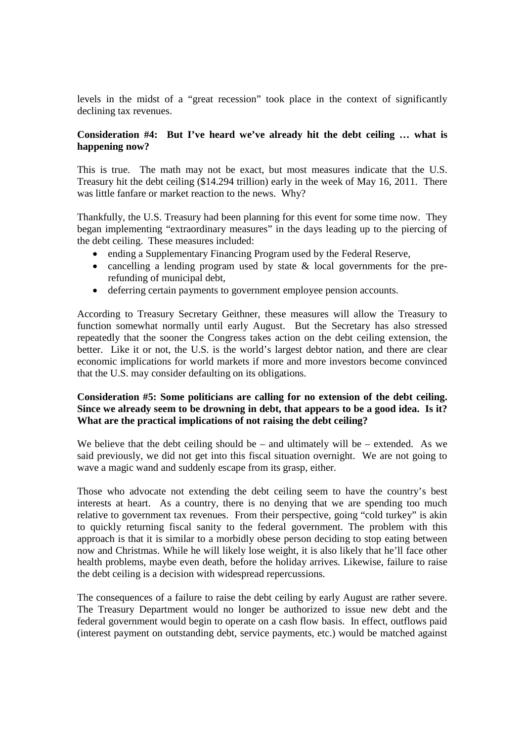levels in the midst of a "great recession" took place in the context of significantly declining tax revenues.

### **Consideration #4: But I've heard we've already hit the debt ceiling … what is happening now?**

This is true. The math may not be exact, but most measures indicate that the U.S. Treasury hit the debt ceiling (\$14.294 trillion) early in the week of May 16, 2011. There was little fanfare or market reaction to the news. Why?

Thankfully, the U.S. Treasury had been planning for this event for some time now. They began implementing "extraordinary measures" in the days leading up to the piercing of the debt ceiling. These measures included:

- ending a Supplementary Financing Program used by the Federal Reserve,
- cancelling a lending program used by state & local governments for the prerefunding of municipal debt,
- deferring certain payments to government employee pension accounts.

According to Treasury Secretary Geithner, these measures will allow the Treasury to function somewhat normally until early August. But the Secretary has also stressed repeatedly that the sooner the Congress takes action on the debt ceiling extension, the better. Like it or not, the U.S. is the world's largest debtor nation, and there are clear economic implications for world markets if more and more investors become convinced that the U.S. may consider defaulting on its obligations.

### **Consideration #5: Some politicians are calling for no extension of the debt ceiling. Since we already seem to be drowning in debt, that appears to be a good idea. Is it? What are the practical implications of not raising the debt ceiling?**

We believe that the debt ceiling should be – and ultimately will be – extended. As we said previously, we did not get into this fiscal situation overnight. We are not going to wave a magic wand and suddenly escape from its grasp, either.

Those who advocate not extending the debt ceiling seem to have the country's best interests at heart. As a country, there is no denying that we are spending too much relative to government tax revenues. From their perspective, going "cold turkey" is akin to quickly returning fiscal sanity to the federal government. The problem with this approach is that it is similar to a morbidly obese person deciding to stop eating between now and Christmas. While he will likely lose weight, it is also likely that he'll face other health problems, maybe even death, before the holiday arrives. Likewise, failure to raise the debt ceiling is a decision with widespread repercussions.

The consequences of a failure to raise the debt ceiling by early August are rather severe. The Treasury Department would no longer be authorized to issue new debt and the federal government would begin to operate on a cash flow basis. In effect, outflows paid (interest payment on outstanding debt, service payments, etc.) would be matched against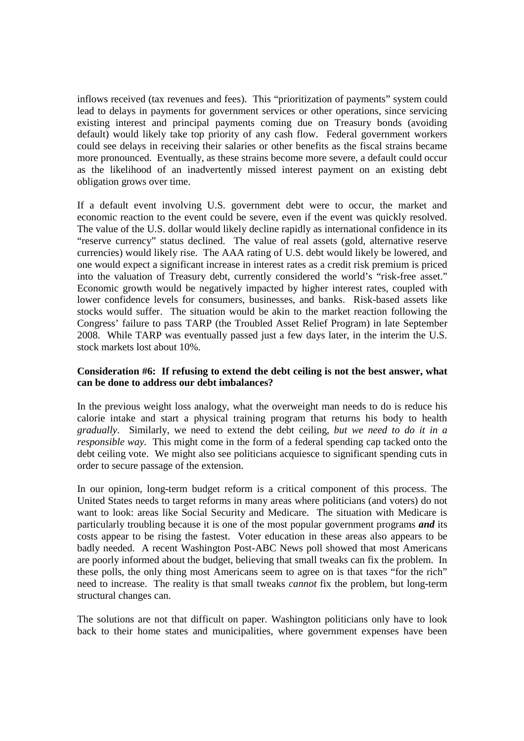inflows received (tax revenues and fees). This "prioritization of payments" system could lead to delays in payments for government services or other operations, since servicing existing interest and principal payments coming due on Treasury bonds (avoiding default) would likely take top priority of any cash flow. Federal government workers could see delays in receiving their salaries or other benefits as the fiscal strains became more pronounced. Eventually, as these strains become more severe, a default could occur as the likelihood of an inadvertently missed interest payment on an existing debt obligation grows over time.

If a default event involving U.S. government debt were to occur, the market and economic reaction to the event could be severe, even if the event was quickly resolved. The value of the U.S. dollar would likely decline rapidly as international confidence in its "reserve currency" status declined. The value of real assets (gold, alternative reserve currencies) would likely rise. The AAA rating of U.S. debt would likely be lowered, and one would expect a significant increase in interest rates as a credit risk premium is priced into the valuation of Treasury debt, currently considered the world's "risk-free asset." Economic growth would be negatively impacted by higher interest rates, coupled with lower confidence levels for consumers, businesses, and banks. Risk-based assets like stocks would suffer. The situation would be akin to the market reaction following the Congress' failure to pass TARP (the Troubled Asset Relief Program) in late September 2008. While TARP was eventually passed just a few days later, in the interim the U.S. stock markets lost about 10%.

#### **Consideration #6: If refusing to extend the debt ceiling is not the best answer, what can be done to address our debt imbalances?**

In the previous weight loss analogy, what the overweight man needs to do is reduce his calorie intake and start a physical training program that returns his body to health *gradually*. Similarly, we need to extend the debt ceiling, *but we need to do it in a responsible way.* This might come in the form of a federal spending cap tacked onto the debt ceiling vote. We might also see politicians acquiesce to significant spending cuts in order to secure passage of the extension.

In our opinion, long-term budget reform is a critical component of this process. The United States needs to target reforms in many areas where politicians (and voters) do not want to look: areas like Social Security and Medicare. The situation with Medicare is particularly troubling because it is one of the most popular government programs *and* its costs appear to be rising the fastest. Voter education in these areas also appears to be badly needed. A recent Washington Post-ABC News poll showed that most Americans are poorly informed about the budget, believing that small tweaks can fix the problem. In these polls, the only thing most Americans seem to agree on is that taxes "for the rich" need to increase. The reality is that small tweaks *cannot* fix the problem, but long-term structural changes can.

The solutions are not that difficult on paper. Washington politicians only have to look back to their home states and municipalities, where government expenses have been